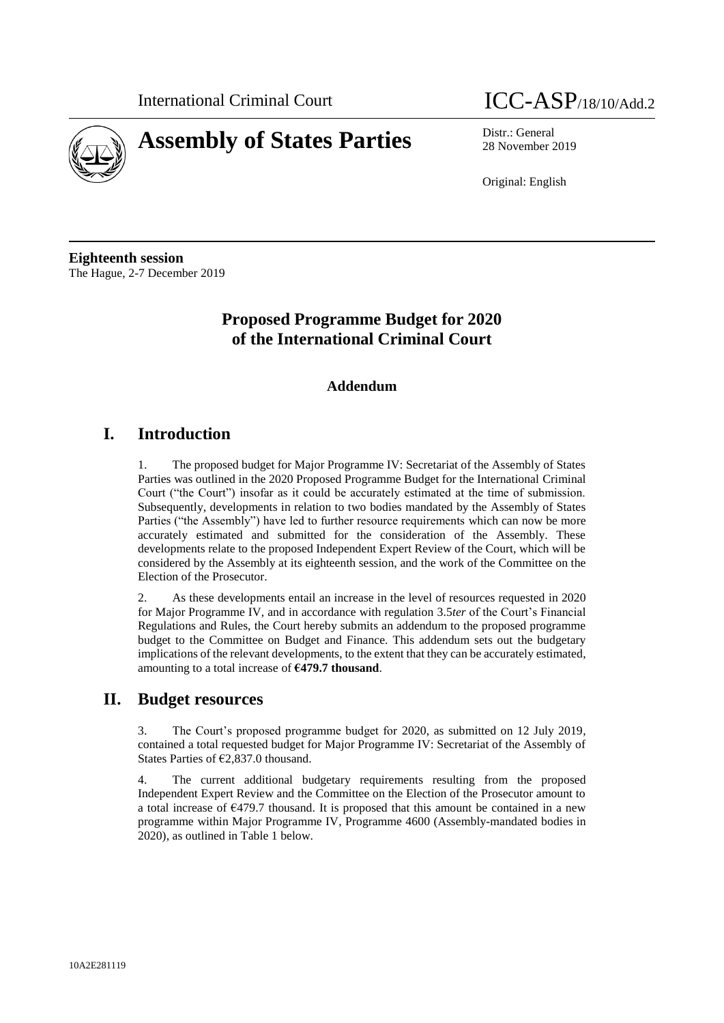

# **Assembly of States Parties** Distr.: General

# International Criminal Court **ICC-ASP**/18/10/Add.2

28 November 2019

Original: English

**Eighteenth session** The Hague, 2-7 December 2019

## **Proposed Programme Budget for 2020 of the International Criminal Court**

#### **Addendum**

### **I. Introduction**

1. The proposed budget for Major Programme IV: Secretariat of the Assembly of States Parties was outlined in the 2020 Proposed Programme Budget for the International Criminal Court ("the Court") insofar as it could be accurately estimated at the time of submission. Subsequently, developments in relation to two bodies mandated by the Assembly of States Parties ("the Assembly") have led to further resource requirements which can now be more accurately estimated and submitted for the consideration of the Assembly. These developments relate to the proposed Independent Expert Review of the Court, which will be considered by the Assembly at its eighteenth session, and the work of the Committee on the Election of the Prosecutor.

2. As these developments entail an increase in the level of resources requested in 2020 for Major Programme IV, and in accordance with regulation 3.5*ter* of the Court's Financial Regulations and Rules, the Court hereby submits an addendum to the proposed programme budget to the Committee on Budget and Finance. This addendum sets out the budgetary implications of the relevant developments, to the extent that they can be accurately estimated, amounting to a total increase of **€479.7 thousand**.

### **II. Budget resources**

3. The Court's proposed programme budget for 2020, as submitted on 12 July 2019, contained a total requested budget for Major Programme IV: Secretariat of the Assembly of States Parties of €2,837.0 thousand.

4. The current additional budgetary requirements resulting from the proposed Independent Expert Review and the Committee on the Election of the Prosecutor amount to a total increase of  $\epsilon$ 479.7 thousand. It is proposed that this amount be contained in a new programme within Major Programme IV, Programme 4600 (Assembly-mandated bodies in 2020), as outlined in Table 1 below.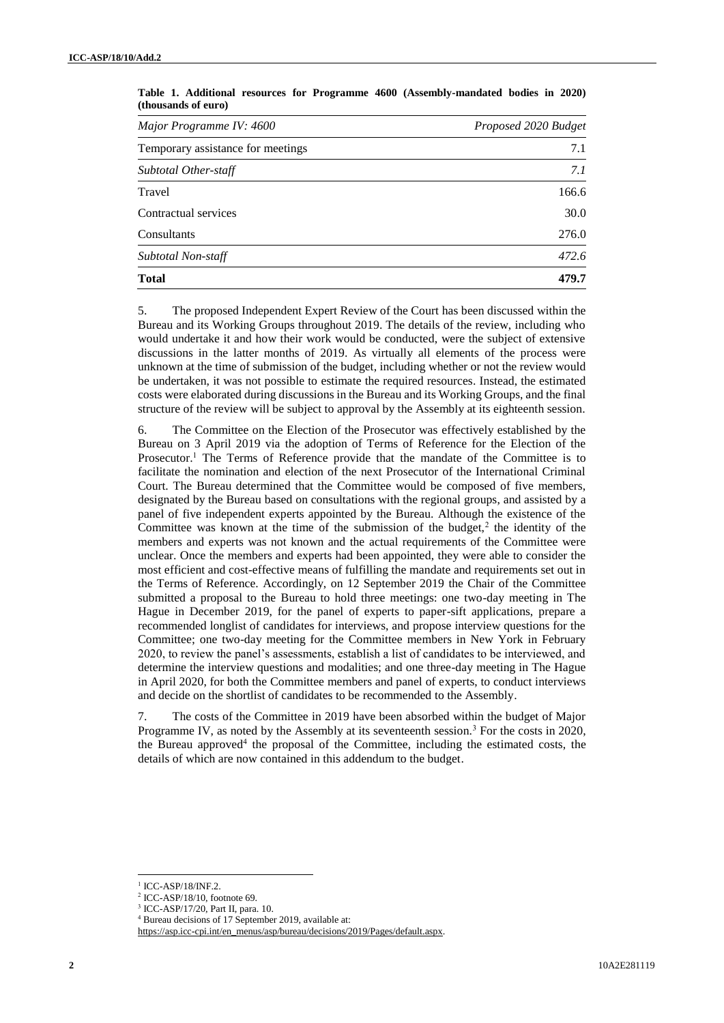| Major Programme IV: 4600          | Proposed 2020 Budget |  |  |  |
|-----------------------------------|----------------------|--|--|--|
| Temporary assistance for meetings | 7.1                  |  |  |  |
| Subtotal Other-staff              | 7.1                  |  |  |  |
| Travel                            | 166.6                |  |  |  |
| Contractual services              | 30.0                 |  |  |  |
| Consultants                       | 276.0                |  |  |  |
| Subtotal Non-staff                | 472.6                |  |  |  |
| <b>Total</b>                      | 479.7                |  |  |  |

**Table 1. Additional resources for Programme 4600 (Assembly-mandated bodies in 2020) (thousands of euro)**

5. The proposed Independent Expert Review of the Court has been discussed within the Bureau and its Working Groups throughout 2019. The details of the review, including who would undertake it and how their work would be conducted, were the subject of extensive discussions in the latter months of 2019. As virtually all elements of the process were unknown at the time of submission of the budget, including whether or not the review would be undertaken, it was not possible to estimate the required resources. Instead, the estimated costs were elaborated during discussions in the Bureau and its Working Groups, and the final structure of the review will be subject to approval by the Assembly at its eighteenth session.

6. The Committee on the Election of the Prosecutor was effectively established by the Bureau on 3 April 2019 via the adoption of Terms of Reference for the Election of the Prosecutor.<sup>1</sup> The Terms of Reference provide that the mandate of the Committee is to facilitate the nomination and election of the next Prosecutor of the International Criminal Court. The Bureau determined that the Committee would be composed of five members, designated by the Bureau based on consultations with the regional groups, and assisted by a panel of five independent experts appointed by the Bureau. Although the existence of the Committee was known at the time of the submission of the budget, $2$  the identity of the members and experts was not known and the actual requirements of the Committee were unclear. Once the members and experts had been appointed, they were able to consider the most efficient and cost-effective means of fulfilling the mandate and requirements set out in the Terms of Reference. Accordingly, on 12 September 2019 the Chair of the Committee submitted a proposal to the Bureau to hold three meetings: one two-day meeting in The Hague in December 2019, for the panel of experts to paper-sift applications, prepare a recommended longlist of candidates for interviews, and propose interview questions for the Committee; one two-day meeting for the Committee members in New York in February 2020, to review the panel's assessments, establish a list of candidates to be interviewed, and determine the interview questions and modalities; and one three-day meeting in The Hague in April 2020, for both the Committee members and panel of experts, to conduct interviews and decide on the shortlist of candidates to be recommended to the Assembly.

7. The costs of the Committee in 2019 have been absorbed within the budget of Major Programme IV, as noted by the Assembly at its seventeenth session.<sup>3</sup> For the costs in 2020, the Bureau approved<sup>4</sup> the proposal of the Committee, including the estimated costs, the details of which are now contained in this addendum to the budget.

 $\overline{\phantom{a}}$  $1$  ICC-ASP/18/INF.2.

<sup>2</sup> ICC-ASP/18/10, footnote 69.

<sup>3</sup> ICC-ASP/17/20, Part II, para. 10.

<sup>4</sup> Bureau decisions of 17 September 2019, available at:

[https://asp.icc-cpi.int/en\\_menus/asp/bureau/decisions/2019/Pages/default.aspx.](https://asp.icc-cpi.int/en_menus/asp/bureau/decisions/2019/Pages/default.aspx)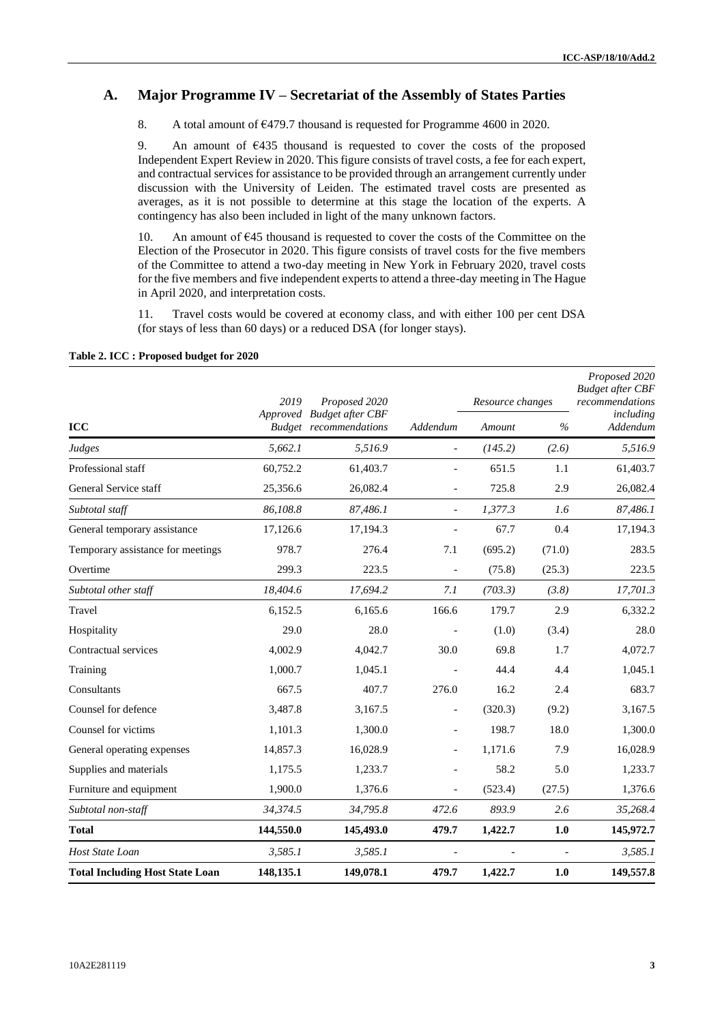#### **A. Major Programme IV – Secretariat of the Assembly of States Parties**

8. A total amount of €479.7 thousand is requested for Programme 4600 in 2020.

9. An amount of  $\epsilon$ 435 thousand is requested to cover the costs of the proposed Independent Expert Review in 2020. This figure consists of travel costs, a fee for each expert, and contractual services for assistance to be provided through an arrangement currently under discussion with the University of Leiden. The estimated travel costs are presented as averages, as it is not possible to determine at this stage the location of the experts. A contingency has also been included in light of the many unknown factors.

10. An amount of  $645$  thousand is requested to cover the costs of the Committee on the Election of the Prosecutor in 2020. This figure consists of travel costs for the five members of the Committee to attend a two-day meeting in New York in February 2020, travel costs for the five members and five independent experts to attend a three-day meeting in The Hague in April 2020, and interpretation costs.

11. Travel costs would be covered at economy class, and with either 100 per cent DSA (for stays of less than 60 days) or a reduced DSA (for longer stays).

|                                        | 2019      | Proposed 2020<br>Approved Budget after CBF<br><b>Budget</b> recommendations | Addendum                 | Resource changes |        | Proposed 2020<br><b>Budget after CBF</b><br>recommendations |
|----------------------------------------|-----------|-----------------------------------------------------------------------------|--------------------------|------------------|--------|-------------------------------------------------------------|
| <b>ICC</b>                             |           |                                                                             |                          | Amount           | $\%$   | including<br>Addendum                                       |
| Judges                                 | 5,662.1   | 5,516.9                                                                     | $\overline{a}$           | (145.2)          | (2.6)  | 5,516.9                                                     |
| Professional staff                     | 60,752.2  | 61,403.7                                                                    |                          | 651.5            | 1.1    | 61,403.7                                                    |
| General Service staff                  | 25,356.6  | 26,082.4                                                                    | $\overline{a}$           | 725.8            | 2.9    | 26,082.4                                                    |
| Subtotal staff                         | 86,108.8  | 87,486.1                                                                    | $\overline{a}$           | 1,377.3          | 1.6    | 87,486.1                                                    |
| General temporary assistance           | 17,126.6  | 17,194.3                                                                    |                          | 67.7             | 0.4    | 17,194.3                                                    |
| Temporary assistance for meetings      | 978.7     | 276.4                                                                       | 7.1                      | (695.2)          | (71.0) | 283.5                                                       |
| Overtime                               | 299.3     | 223.5                                                                       |                          | (75.8)           | (25.3) | 223.5                                                       |
| Subtotal other staff                   | 18,404.6  | 17,694.2                                                                    | 7.1                      | (703.3)          | (3.8)  | 17,701.3                                                    |
| Travel                                 | 6,152.5   | 6,165.6                                                                     | 166.6                    | 179.7            | 2.9    | 6,332.2                                                     |
| Hospitality                            | 29.0      | 28.0                                                                        |                          | (1.0)            | (3.4)  | 28.0                                                        |
| Contractual services                   | 4,002.9   | 4,042.7                                                                     | 30.0                     | 69.8             | 1.7    | 4,072.7                                                     |
| Training                               | 1,000.7   | 1,045.1                                                                     |                          | 44.4             | 4.4    | 1,045.1                                                     |
| Consultants                            | 667.5     | 407.7                                                                       | 276.0                    | 16.2             | 2.4    | 683.7                                                       |
| Counsel for defence                    | 3,487.8   | 3,167.5                                                                     | $\overline{\phantom{a}}$ | (320.3)          | (9.2)  | 3,167.5                                                     |
| Counsel for victims                    | 1,101.3   | 1,300.0                                                                     | $\overline{\phantom{a}}$ | 198.7            | 18.0   | 1,300.0                                                     |
| General operating expenses             | 14,857.3  | 16,028.9                                                                    |                          | 1,171.6          | 7.9    | 16,028.9                                                    |
| Supplies and materials                 | 1,175.5   | 1,233.7                                                                     |                          | 58.2             | 5.0    | 1,233.7                                                     |
| Furniture and equipment                | 1,900.0   | 1,376.6                                                                     |                          | (523.4)          | (27.5) | 1,376.6                                                     |
| Subtotal non-staff                     | 34,374.5  | 34,795.8                                                                    | 472.6                    | 893.9            | 2.6    | 35,268.4                                                    |
| <b>Total</b>                           | 144,550.0 | 145,493.0                                                                   | 479.7                    | 1,422.7          | $1.0$  | 145,972.7                                                   |
| Host State Loan                        | 3,585.1   | 3,585.1                                                                     | $\overline{a}$           |                  |        | 3,585.1                                                     |
| <b>Total Including Host State Loan</b> | 148,135.1 | 149,078.1                                                                   | 479.7                    | 1,422.7          | 1.0    | 149,557.8                                                   |

#### **Table 2. ICC : Proposed budget for 2020**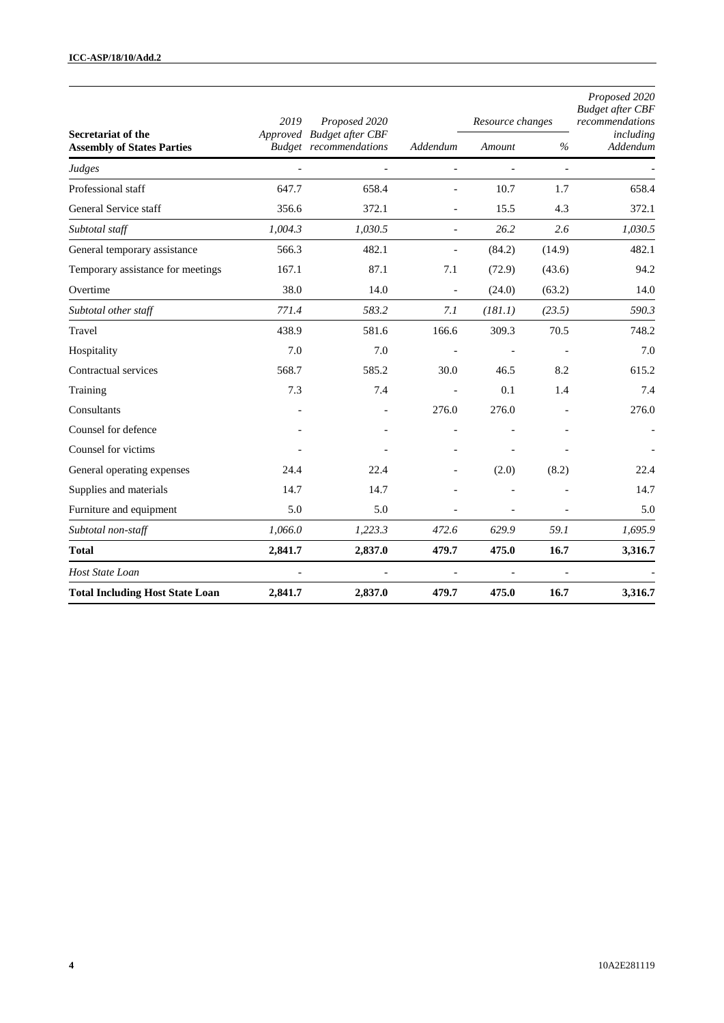|                                                                | 2019    | Proposed 2020<br>Approved Budget after CBF<br><b>Budget</b> recommendations | Addendum                 | Resource changes |                          | Proposed 2020<br><b>Budget after CBF</b><br>recommendations |
|----------------------------------------------------------------|---------|-----------------------------------------------------------------------------|--------------------------|------------------|--------------------------|-------------------------------------------------------------|
| <b>Secretariat of the</b><br><b>Assembly of States Parties</b> |         |                                                                             |                          | Amount           | $\%$                     | including<br>Addendum                                       |
| Judges                                                         |         |                                                                             | $\overline{\phantom{a}}$ | $\overline{a}$   | $\overline{\phantom{a}}$ |                                                             |
| Professional staff                                             | 647.7   | 658.4                                                                       | $\overline{a}$           | 10.7             | 1.7                      | 658.4                                                       |
| General Service staff                                          | 356.6   | 372.1                                                                       |                          | 15.5             | 4.3                      | 372.1                                                       |
| Subtotal staff                                                 | 1,004.3 | 1,030.5                                                                     | $\overline{a}$           | 26.2             | 2.6                      | 1,030.5                                                     |
| General temporary assistance                                   | 566.3   | 482.1                                                                       | $\overline{\phantom{a}}$ | (84.2)           | (14.9)                   | 482.1                                                       |
| Temporary assistance for meetings                              | 167.1   | 87.1                                                                        | 7.1                      | (72.9)           | (43.6)                   | 94.2                                                        |
| Overtime                                                       | 38.0    | 14.0                                                                        | $\overline{\phantom{a}}$ | (24.0)           | (63.2)                   | 14.0                                                        |
| Subtotal other staff                                           | 771.4   | 583.2                                                                       | 7.1                      | (181.1)          | (23.5)                   | 590.3                                                       |
| Travel                                                         | 438.9   | 581.6                                                                       | 166.6                    | 309.3            | 70.5                     | 748.2                                                       |
| Hospitality                                                    | 7.0     | 7.0                                                                         | $\blacksquare$           |                  | $\overline{\phantom{a}}$ | 7.0                                                         |
| Contractual services                                           | 568.7   | 585.2                                                                       | 30.0                     | 46.5             | 8.2                      | 615.2                                                       |
| Training                                                       | 7.3     | 7.4                                                                         |                          | 0.1              | 1.4                      | 7.4                                                         |
| Consultants                                                    |         |                                                                             | 276.0                    | 276.0            |                          | 276.0                                                       |
| Counsel for defence                                            |         |                                                                             |                          |                  |                          |                                                             |
| Counsel for victims                                            |         |                                                                             |                          |                  |                          |                                                             |
| General operating expenses                                     | 24.4    | 22.4                                                                        |                          | (2.0)            | (8.2)                    | 22.4                                                        |
| Supplies and materials                                         | 14.7    | 14.7                                                                        |                          |                  |                          | 14.7                                                        |
| Furniture and equipment                                        | 5.0     | 5.0                                                                         | $\overline{a}$           | $\overline{a}$   |                          | 5.0                                                         |
| Subtotal non-staff                                             | 1,066.0 | 1,223.3                                                                     | 472.6                    | 629.9            | 59.1                     | 1,695.9                                                     |
| <b>Total</b>                                                   | 2,841.7 | 2,837.0                                                                     | 479.7                    | 475.0            | 16.7                     | 3,316.7                                                     |
| Host State Loan                                                |         |                                                                             | $\overline{\phantom{a}}$ | ÷,               | $\blacksquare$           |                                                             |
| <b>Total Including Host State Loan</b>                         | 2,841.7 | 2,837.0                                                                     | 479.7                    | 475.0            | 16.7                     | 3,316.7                                                     |